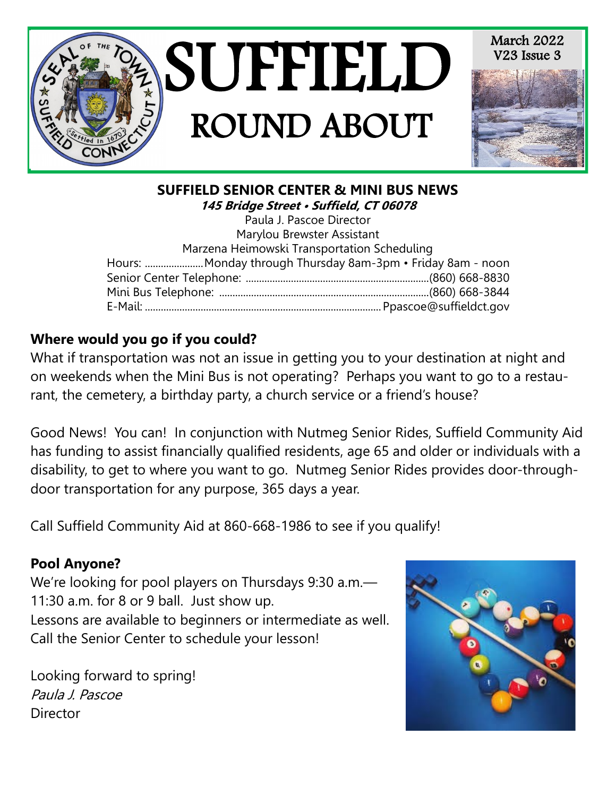

## **SUFFIELD SENIOR CENTER & MINI BUS NEWS 145 Bridge Street • Suffield, CT 06078**

Paula J. Pascoe Director Marylou Brewster Assistant Marzena Heimowski Transportation Scheduling Hours: ......................Monday through Thursday 8am-3pm • Friday 8am - noon Senior Center Telephone: .....................................................................(860) 668-8830 Mini Bus Telephone: ...............................................................................(860) 668-3844 E-Mail: .........................................................................................Ppascoe@suffieldct.gov

# **Where would you go if you could?**

What if transportation was not an issue in getting you to your destination at night and on weekends when the Mini Bus is not operating? Perhaps you want to go to a restaurant, the cemetery, a birthday party, a church service or a friend's house?

Good News! You can! In conjunction with Nutmeg Senior Rides, Suffield Community Aid has funding to assist financially qualified residents, age 65 and older or individuals with a disability, to get to where you want to go. Nutmeg Senior Rides provides door-throughdoor transportation for any purpose, 365 days a year.

Call Suffield Community Aid at 860-668-1986 to see if you qualify!

## **Pool Anyone?**

We're looking for pool players on Thursdays 9:30 a.m.— 11:30 a.m. for 8 or 9 ball. Just show up. Lessons are available to beginners or intermediate as well. Call the Senior Center to schedule your lesson!

Looking forward to spring! Paula J. Pascoe **Director** 

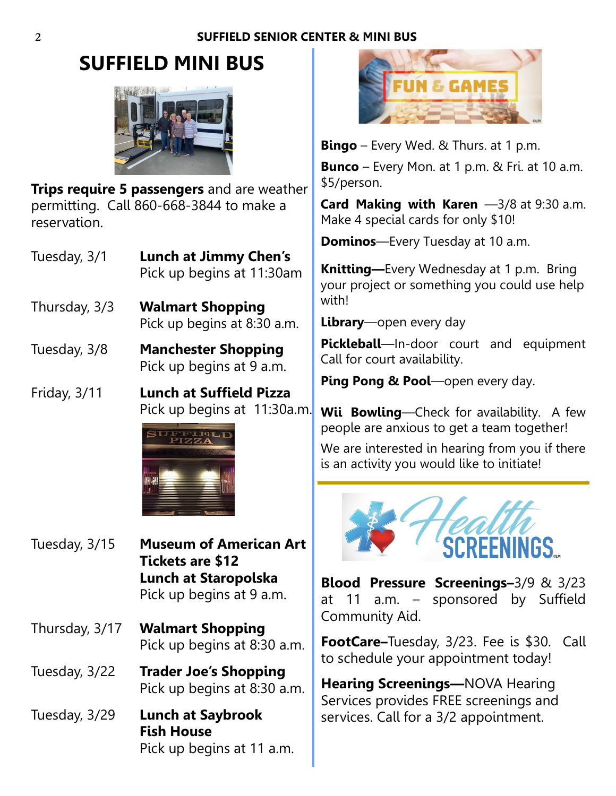# **SUFFIELD MINI BUS**



**Trips require 5 passengers** and are weather permitting. Call 860-668-3844 to make a reservation.

- Tuesday, 3/1 **Lunch at Jimmy Chen's** Pick up begins at 11:30am
- Thursday, 3/3 **Walmart Shopping** Pick up begins at 8:30 a.m.
- Tuesday, 3/8 **Manchester Shopping** Pick up begins at 9 a.m.
- Friday, 3/11 **Lunch at Suffield Pizza** Pick up begins at 11:30a.m.



- Tuesday, 3/15 **Museum of American Art Tickets are \$12 Lunch at Staropolska** Pick up begins at 9 a.m.
- Thursday, 3/17 **Walmart Shopping** Pick up begins at 8:30 a.m.
- Tuesday, 3/22 **Trader Joe's Shopping** Pick up begins at 8:30 a.m.
- Tuesday, 3/29 **Lunch at Saybrook Fish House** Pick up begins at 11 a.m.



**Bingo** – Every Wed. & Thurs. at 1 p.m. **Bunco** – Every Mon. at 1 p.m. & Fri. at 10 a.m. \$5/person.

**Card Making with Karen** -3/8 at 9:30 a.m. Make 4 special cards for only \$10!

**Dominos**—Every Tuesday at 10 a.m.

**Knitting—**Every Wednesday at 1 p.m. Bring your project or something you could use help with!

**Library**—open every day

**Pickleball**—In-door court and equipment Call for court availability.

**Ping Pong & Pool**—open every day.

**Wii Bowling**—Check for availability. A few people are anxious to get a team together!

We are interested in hearing from you if there is an activity you would like to initiate!



**Blood Pressure Screenings–**3/9 & 3/23 at 11 a.m. – sponsored by Suffield Community Aid.

**FootCare–**Tuesday, 3/23. Fee is \$30. Call to schedule your appointment today!

**Hearing Screenings—**NOVA Hearing Services provides FREE screenings and services. Call for a 3/2 appointment.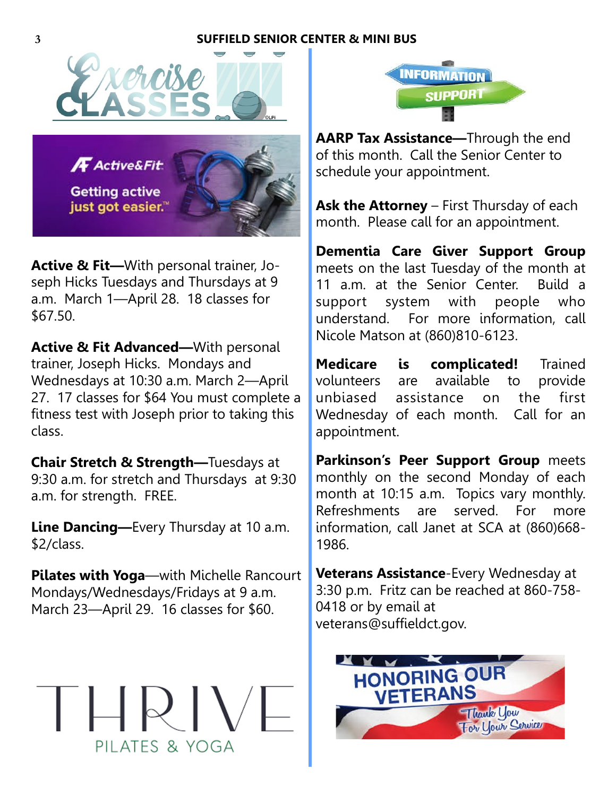### **3 SUFFIELD SENIOR CENTER & MINI BUS**





**Active & Fit—**With personal trainer, Joseph Hicks Tuesdays and Thursdays at 9 a.m. March 1—April 28. 18 classes for \$67.50.

**Active & Fit Advanced—**With personal trainer, Joseph Hicks. Mondays and Wednesdays at 10:30 a.m. March 2—April 27. 17 classes for \$64 You must complete a fitness test with Joseph prior to taking this class.

**Chair Stretch & Strength—**Tuesdays at 9:30 a.m. for stretch and Thursdays at 9:30 a.m. for strength. FREE.

**Line Dancing—**Every Thursday at 10 a.m. \$2/class.

**Pilates with Yoga**—with Michelle Rancourt Mondays/Wednesdays/Fridays at 9 a.m. March 23—April 29. 16 classes for \$60.





**AARP Tax Assistance—**Through the end of this month. Call the Senior Center to schedule your appointment.

Ask the Attorney – First Thursday of each month. Please call for an appointment.

**Dementia Care Giver Support Group**  meets on the last Tuesday of the month at 11 a.m. at the Senior Center. Build a support system with people who understand. For more information, call Nicole Matson at (860)810-6123.

**Medicare is complicated!** Trained volunteers are available to provide unbiased assistance on the first Wednesday of each month. Call for an appointment.

**Parkinson's Peer Support Group** meets monthly on the second Monday of each month at 10:15 a.m. Topics vary monthly. Refreshments are served. For more information, call Janet at SCA at (860)668- 1986.

**Veterans Assistance**-Every Wednesday at 3:30 p.m. Fritz can be reached at 860-758- 0418 or by email at veterans@suffieldct.gov.

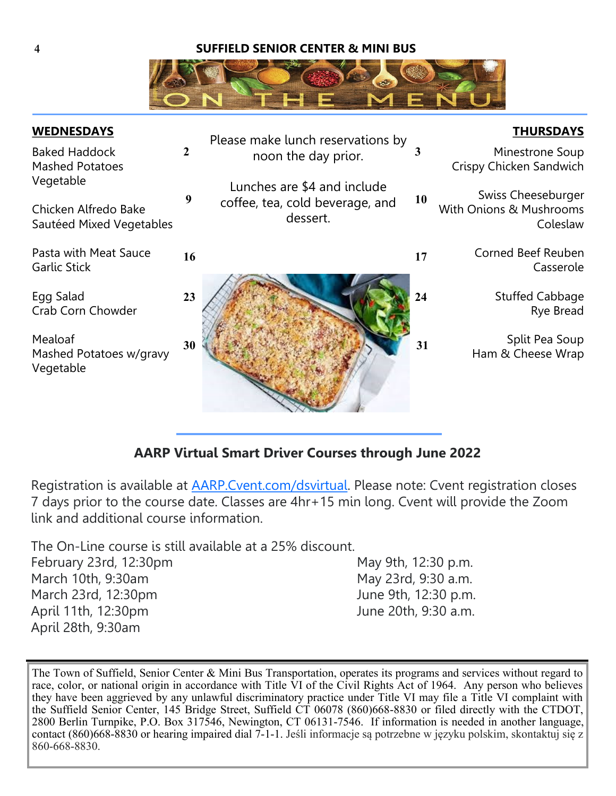#### **4 SUFFIELD SENIOR CENTER & MINI BUS**



| <b>WEDNESDAYS</b>                                             |              | Please make lunch reservations by                                          |    | <b>THURSDAYS</b>                                          |
|---------------------------------------------------------------|--------------|----------------------------------------------------------------------------|----|-----------------------------------------------------------|
| <b>Baked Haddock</b><br><b>Mashed Potatoes</b>                | $\mathbf{2}$ | noon the day prior.                                                        | 3  | Minestrone Soup<br>Crispy Chicken Sandwich                |
| Vegetable<br>Chicken Alfredo Bake<br>Sautéed Mixed Vegetables | 9            | Lunches are \$4 and include<br>coffee, tea, cold beverage, and<br>dessert. | 10 | Swiss Cheeseburger<br>With Onions & Mushrooms<br>Coleslaw |
| Pasta with Meat Sauce<br><b>Garlic Stick</b>                  | 16           |                                                                            | 17 | Corned Beef Reuben<br>Casserole                           |
| Egg Salad<br>Crab Corn Chowder                                | 23           |                                                                            | 24 | <b>Stuffed Cabbage</b><br>Rye Bread                       |
| Mealoaf<br>Mashed Potatoes w/gravy<br>Vegetable               | 30           |                                                                            | 31 | Split Pea Soup<br>Ham & Cheese Wrap                       |

### **AARP Virtual Smart Driver Courses through June 2022**

Registration is available at [AARP.Cvent.com/dsvirtual.](http://AARP.Cvent.com/dsvirtual) Please note: Cvent registration closes 7 days prior to the course date. Classes are 4hr+15 min long. Cvent will provide the Zoom link and additional course information.

The On-Line course is still available at a 25% discount.

| February 23rd, 12:30pm | May 9th, 12:30 p.m.  |
|------------------------|----------------------|
| March 10th, 9:30am     | May 23rd, 9:30 a.m.  |
| March 23rd, 12:30pm    | June 9th, 12:30 p.m. |
| April 11th, 12:30pm    | June 20th, 9:30 a.m. |
| April 28th, 9:30am     |                      |

The Town of Suffield, Senior Center & Mini Bus Transportation, operates its programs and services without regard to race, color, or national origin in accordance with Title VI of the Civil Rights Act of 1964. Any person who believes they have been aggrieved by any unlawful discriminatory practice under Title VI may file a Title VI complaint with the Suffield Senior Center, 145 Bridge Street, Suffield CT 06078 (860)668-8830 or filed directly with the CTDOT, 2800 Berlin Turnpike, P.O. Box 317546, Newington, CT 06131-7546. If information is needed in another language, contact (860)668-8830 or hearing impaired dial 7-1-1. Jeśli informacje są potrzebne w języku polskim, skontaktuj się z 860-668-8830.